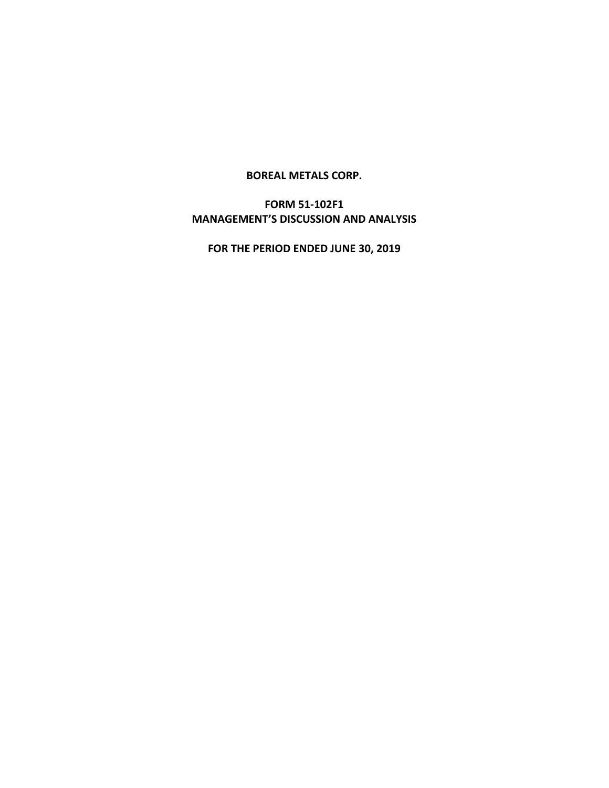#### **BOREAL METALS CORP.**

# **FORM 51-102F1 MANAGEMENT'S DISCUSSION AND ANALYSIS**

**FOR THE PERIOD ENDED JUNE 30, 2019**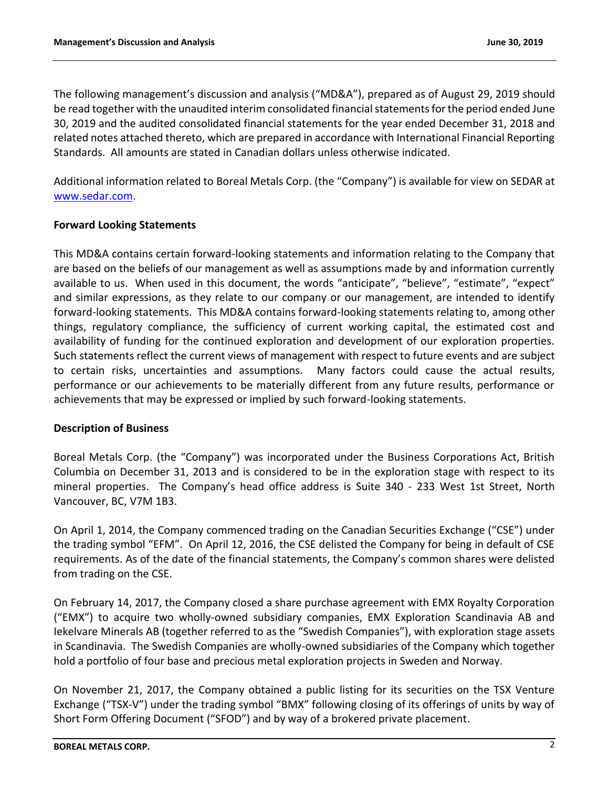The following management's discussion and analysis ("MD&A"), prepared as of August 29, 2019 should be read together with the unaudited interim consolidated financial statements for the period ended June 30, 2019 and the audited consolidated financial statements for the year ended December 31, 2018 and related notes attached thereto, which are prepared in accordance with International Financial Reporting Standards. All amounts are stated in Canadian dollars unless otherwise indicated.

Additional information related to Boreal Metals Corp. (the "Company") is available for view on SEDAR at [www.sedar.com.](http://www.sedar.com/)

## **Forward Looking Statements**

This MD&A contains certain forward-looking statements and information relating to the Company that are based on the beliefs of our management as well as assumptions made by and information currently available to us. When used in this document, the words "anticipate", "believe", "estimate", "expect" and similar expressions, as they relate to our company or our management, are intended to identify forward-looking statements. This MD&A contains forward-looking statements relating to, among other things, regulatory compliance, the sufficiency of current working capital, the estimated cost and availability of funding for the continued exploration and development of our exploration properties. Such statements reflect the current views of management with respect to future events and are subject to certain risks, uncertainties and assumptions. Many factors could cause the actual results, performance or our achievements to be materially different from any future results, performance or achievements that may be expressed or implied by such forward-looking statements.

## **Description of Business**

Boreal Metals Corp. (the "Company") was incorporated under the Business Corporations Act, British Columbia on December 31, 2013 and is considered to be in the exploration stage with respect to its mineral properties. The Company's head office address is Suite 340 - 233 West 1st Street, North Vancouver, BC, V7M 1B3.

On April 1, 2014, the Company commenced trading on the Canadian Securities Exchange ("CSE") under the trading symbol "EFM". On April 12, 2016, the CSE delisted the Company for being in default of CSE requirements. As of the date of the financial statements, the Company's common shares were delisted from trading on the CSE.

On February 14, 2017, the Company closed a share purchase agreement with EMX Royalty Corporation ("EMX") to acquire two wholly-owned subsidiary companies, EMX Exploration Scandinavia AB and Iekelvare Minerals AB (together referred to as the "Swedish Companies"), with exploration stage assets in Scandinavia. The Swedish Companies are wholly-owned subsidiaries of the Company which together hold a portfolio of four base and precious metal exploration projects in Sweden and Norway.

On November 21, 2017, the Company obtained a public listing for its securities on the TSX Venture Exchange ("TSX-V") under the trading symbol "BMX" following closing of its offerings of units by way of Short Form Offering Document ("SFOD") and by way of a brokered private placement.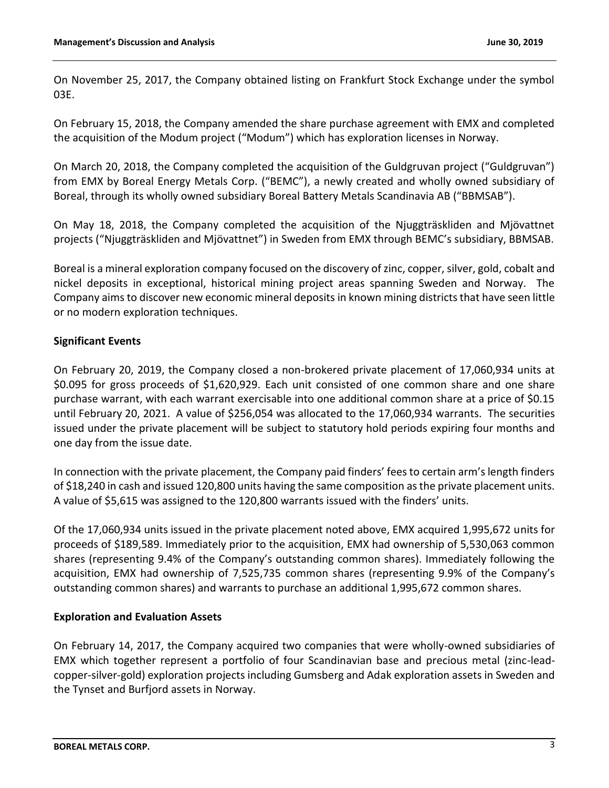On November 25, 2017, the Company obtained listing on Frankfurt Stock Exchange under the symbol 03E.

On February 15, 2018, the Company amended the share purchase agreement with EMX and completed the acquisition of the Modum project ("Modum") which has exploration licenses in Norway.

On March 20, 2018, the Company completed the acquisition of the Guldgruvan project ("Guldgruvan") from EMX by Boreal Energy Metals Corp. ("BEMC"), a newly created and wholly owned subsidiary of Boreal, through its wholly owned subsidiary Boreal Battery Metals Scandinavia AB ("BBMSAB").

On May 18, 2018, the Company completed the acquisition of the Njuggträskliden and Mjövattnet projects ("Njuggträskliden and Mjövattnet") in Sweden from EMX through BEMC's subsidiary, BBMSAB.

Boreal is a mineral exploration company focused on the discovery of zinc, copper, silver, gold, cobalt and nickel deposits in exceptional, historical mining project areas spanning Sweden and Norway. The Company aims to discover new economic mineral deposits in known mining districts that have seen little or no modern exploration techniques.

# **Significant Events**

On February 20, 2019, the Company closed a non-brokered private placement of 17,060,934 units at \$0.095 for gross proceeds of \$1,620,929. Each unit consisted of one common share and one share purchase warrant, with each warrant exercisable into one additional common share at a price of \$0.15 until February 20, 2021. A value of \$256,054 was allocated to the 17,060,934 warrants. The securities issued under the private placement will be subject to statutory hold periods expiring four months and one day from the issue date.

In connection with the private placement, the Company paid finders' fees to certain arm's length finders of \$18,240 in cash and issued 120,800 units having the same composition as the private placement units. A value of \$5,615 was assigned to the 120,800 warrants issued with the finders' units.

Of the 17,060,934 units issued in the private placement noted above, EMX acquired 1,995,672 units for proceeds of \$189,589. Immediately prior to the acquisition, EMX had ownership of 5,530,063 common shares (representing 9.4% of the Company's outstanding common shares). Immediately following the acquisition, EMX had ownership of 7,525,735 common shares (representing 9.9% of the Company's outstanding common shares) and warrants to purchase an additional 1,995,672 common shares.

## **Exploration and Evaluation Assets**

On February 14, 2017, the Company acquired two companies that were wholly-owned subsidiaries of EMX which together represent a portfolio of four Scandinavian base and precious metal (zinc-leadcopper-silver-gold) exploration projects including Gumsberg and Adak exploration assets in Sweden and the Tynset and Burfjord assets in Norway.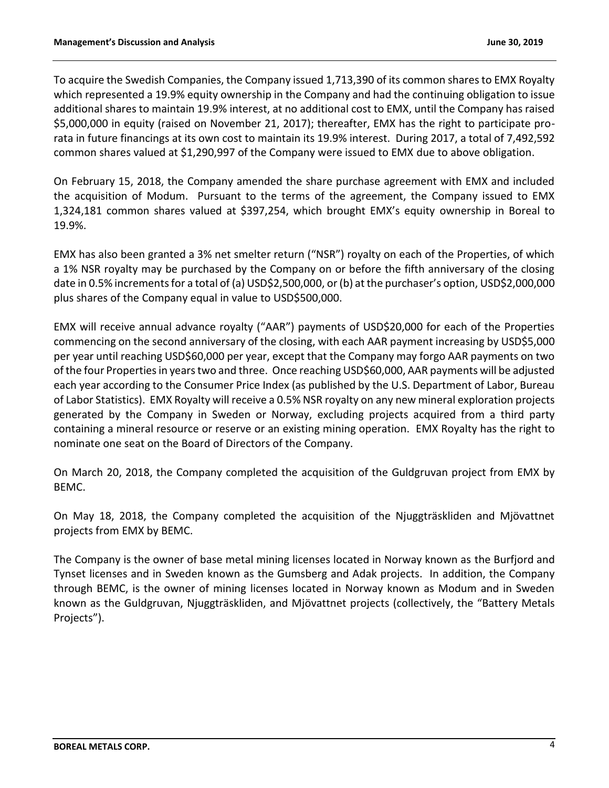To acquire the Swedish Companies, the Company issued 1,713,390 of its common shares to EMX Royalty which represented a 19.9% equity ownership in the Company and had the continuing obligation to issue additional shares to maintain 19.9% interest, at no additional cost to EMX, until the Company has raised \$5,000,000 in equity (raised on November 21, 2017); thereafter, EMX has the right to participate prorata in future financings at its own cost to maintain its 19.9% interest. During 2017, a total of 7,492,592 common shares valued at \$1,290,997 of the Company were issued to EMX due to above obligation.

On February 15, 2018, the Company amended the share purchase agreement with EMX and included the acquisition of Modum. Pursuant to the terms of the agreement, the Company issued to EMX 1,324,181 common shares valued at \$397,254, which brought EMX's equity ownership in Boreal to 19.9%.

EMX has also been granted a 3% net smelter return ("NSR") royalty on each of the Properties, of which a 1% NSR royalty may be purchased by the Company on or before the fifth anniversary of the closing date in 0.5% increments for a total of (a) USD\$2,500,000, or (b) at the purchaser's option, USD\$2,000,000 plus shares of the Company equal in value to USD\$500,000.

EMX will receive annual advance royalty ("AAR") payments of USD\$20,000 for each of the Properties commencing on the second anniversary of the closing, with each AAR payment increasing by USD\$5,000 per year until reaching USD\$60,000 per year, except that the Company may forgo AAR payments on two of the four Properties in years two and three. Once reaching USD\$60,000, AAR payments will be adjusted each year according to the Consumer Price Index (as published by the U.S. Department of Labor, Bureau of Labor Statistics). EMX Royalty will receive a 0.5% NSR royalty on any new mineral exploration projects generated by the Company in Sweden or Norway, excluding projects acquired from a third party containing a mineral resource or reserve or an existing mining operation. EMX Royalty has the right to nominate one seat on the Board of Directors of the Company.

On March 20, 2018, the Company completed the acquisition of the Guldgruvan project from EMX by BEMC.

On May 18, 2018, the Company completed the acquisition of the Njuggträskliden and Mjövattnet projects from EMX by BEMC.

The Company is the owner of base metal mining licenses located in Norway known as the Burfjord and Tynset licenses and in Sweden known as the Gumsberg and Adak projects. In addition, the Company through BEMC, is the owner of mining licenses located in Norway known as Modum and in Sweden known as the Guldgruvan, Njuggträskliden, and Mjövattnet projects (collectively, the "Battery Metals Projects").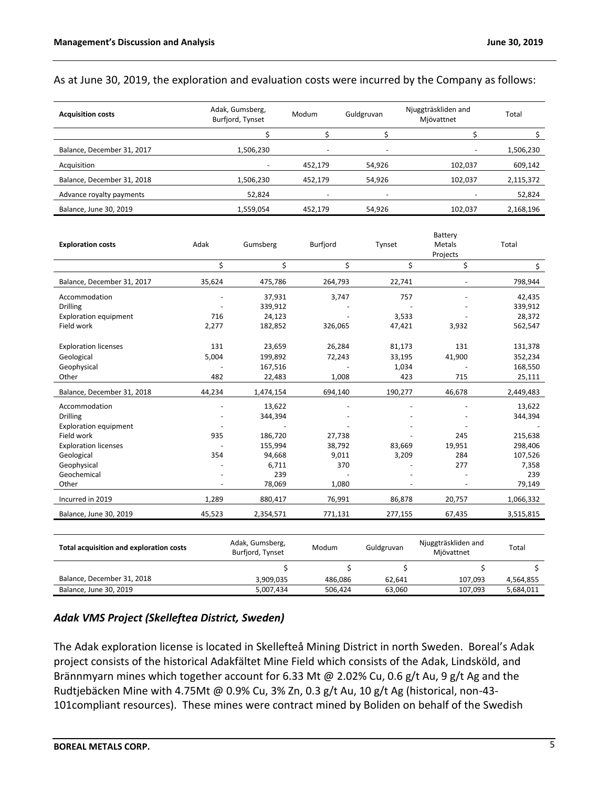#### As at June 30, 2019, the exploration and evaluation costs were incurred by the Company as follows:

| <b>Acquisition costs</b>   | Adak, Gumsberg,<br>Burfjord, Tynset | Modum                    | Guldgruvan               | Njuggträskliden and<br>Mjövattnet | Total     |
|----------------------------|-------------------------------------|--------------------------|--------------------------|-----------------------------------|-----------|
|                            |                                     |                          |                          |                                   |           |
| Balance, December 31, 2017 | 1,506,230                           | $\overline{\phantom{0}}$ | $\overline{\phantom{0}}$ | $\overline{\phantom{a}}$          | 1,506,230 |
| Acquisition                |                                     | 452,179                  | 54,926                   | 102,037                           | 609,142   |
| Balance, December 31, 2018 | 1,506,230                           | 452,179                  | 54,926                   | 102,037                           | 2,115,372 |
| Advance royalty payments   | 52,824                              | $\overline{\phantom{0}}$ | $\overline{\phantom{0}}$ | ۰                                 | 52,824    |
| Balance, June 30, 2019     | 1,559,054                           | 452.179                  | 54,926                   | 102,037                           | 2,168,196 |

|                                                |        |                                     |          |            | Battery                           |           |
|------------------------------------------------|--------|-------------------------------------|----------|------------|-----------------------------------|-----------|
| <b>Exploration costs</b>                       | Adak   | Gumsberg                            | Burfjord | Tynset     | Metals                            | Total     |
|                                                |        |                                     |          |            | Projects                          |           |
|                                                | \$     | \$                                  | \$       | \$         | \$                                | \$        |
| Balance, December 31, 2017                     | 35,624 | 475,786                             | 264,793  | 22,741     |                                   | 798,944   |
| Accommodation                                  |        | 37,931                              | 3,747    | 757        |                                   | 42,435    |
| <b>Drilling</b>                                |        | 339,912                             |          |            |                                   | 339,912   |
| <b>Exploration equipment</b>                   | 716    | 24,123                              |          | 3,533      |                                   | 28,372    |
| Field work                                     | 2,277  | 182,852                             | 326,065  | 47,421     | 3,932                             | 562,547   |
| <b>Exploration licenses</b>                    | 131    | 23,659                              | 26,284   | 81,173     | 131                               | 131,378   |
| Geological                                     | 5,004  | 199,892                             | 72,243   | 33,195     | 41,900                            | 352,234   |
| Geophysical                                    |        | 167,516                             |          | 1,034      |                                   | 168,550   |
| Other                                          | 482    | 22,483                              | 1,008    | 423        | 715                               | 25,111    |
| Balance, December 31, 2018                     | 44,234 | 1,474,154                           | 694,140  | 190,277    | 46,678                            | 2,449,483 |
| Accommodation                                  |        | 13,622                              |          |            |                                   | 13,622    |
| <b>Drilling</b>                                |        | 344,394                             |          |            |                                   | 344,394   |
| <b>Exploration equipment</b>                   |        |                                     |          |            |                                   |           |
| Field work                                     | 935    | 186,720                             | 27,738   |            | 245                               | 215,638   |
| <b>Exploration licenses</b>                    |        | 155,994                             | 38,792   | 83,669     | 19,951                            | 298,406   |
| Geological                                     | 354    | 94,668                              | 9,011    | 3,209      | 284                               | 107,526   |
| Geophysical                                    |        | 6,711                               | 370      |            | 277                               | 7,358     |
| Geochemical                                    |        | 239                                 |          |            |                                   | 239       |
| Other                                          |        | 78,069                              | 1,080    |            |                                   | 79,149    |
| Incurred in 2019                               | 1,289  | 880,417                             | 76,991   | 86,878     | 20,757                            | 1,066,332 |
| Balance, June 30, 2019                         | 45,523 | 2,354,571                           | 771,131  | 277,155    | 67,435                            | 3,515,815 |
|                                                |        |                                     |          |            |                                   |           |
| <b>Total acquisition and exploration costs</b> |        | Adak, Gumsberg,<br>Burfjord, Tynset | Modum    | Guldgruvan | Njuggträskliden and<br>Mjövattnet | Total     |
|                                                |        | \$                                  | \$       | \$         | \$                                | \$        |
| Balance, December 31, 2018                     |        | 3,909,035                           | 486,086  | 62,641     | 107,093                           | 4,564,855 |
| Balance, June 30, 2019                         |        | 5,007,434                           | 506,424  | 63,060     | 107,093                           | 5,684,011 |

### *Adak VMS Project (Skelleftea District, Sweden)*

The Adak exploration license is located in Skellefteå Mining District in north Sweden. Boreal's Adak project consists of the historical Adakfältet Mine Field which consists of the Adak, Lindsköld, and Brännmyarn mines which together account for 6.33 Mt @ 2.02% Cu, 0.6 g/t Au, 9 g/t Ag and the Rudtjebäcken Mine with 4.75Mt @ 0.9% Cu, 3% Zn, 0.3 g/t Au, 10 g/t Ag (historical, non-43- 101compliant resources). These mines were contract mined by Boliden on behalf of the Swedish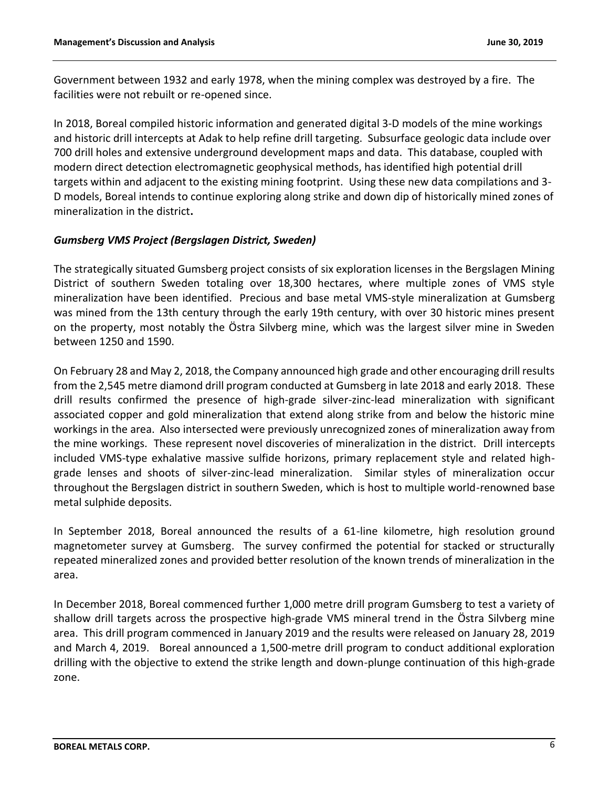Government between 1932 and early 1978, when the mining complex was destroyed by a fire. The facilities were not rebuilt or re-opened since.

In 2018, Boreal compiled historic information and generated digital 3-D models of the mine workings and historic drill intercepts at Adak to help refine drill targeting. Subsurface geologic data include over 700 drill holes and extensive underground development maps and data. This database, coupled with modern direct detection electromagnetic geophysical methods, has identified high potential drill targets within and adjacent to the existing mining footprint. Using these new data compilations and 3- D models, Boreal intends to continue exploring along strike and down dip of historically mined zones of mineralization in the district**.**

## *Gumsberg VMS Project (Bergslagen District, Sweden)*

The strategically situated Gumsberg project consists of six exploration licenses in the Bergslagen Mining District of southern Sweden totaling over 18,300 hectares, where multiple zones of VMS style mineralization have been identified. Precious and base metal VMS-style mineralization at Gumsberg was mined from the 13th century through the early 19th century, with over 30 historic mines present on the property, most notably the Östra Silvberg mine, which was the largest silver mine in Sweden between 1250 and 1590.

On February 28 and May 2, 2018, the Company announced high grade and other encouraging drill results from the 2,545 metre diamond drill program conducted at Gumsberg in late 2018 and early 2018. These drill results confirmed the presence of high-grade silver-zinc-lead mineralization with significant associated copper and gold mineralization that extend along strike from and below the historic mine workings in the area. Also intersected were previously unrecognized zones of mineralization away from the mine workings. These represent novel discoveries of mineralization in the district. Drill intercepts included VMS-type exhalative massive sulfide horizons, primary replacement style and related highgrade lenses and shoots of silver-zinc-lead mineralization. Similar styles of mineralization occur throughout the Bergslagen district in southern Sweden, which is host to multiple world-renowned base metal sulphide deposits.

In September 2018, Boreal announced the results of a 61-line kilometre, high resolution ground magnetometer survey at Gumsberg. The survey confirmed the potential for stacked or structurally repeated mineralized zones and provided better resolution of the known trends of mineralization in the area.

In December 2018, Boreal commenced further 1,000 metre drill program Gumsberg to test a variety of shallow drill targets across the prospective high-grade VMS mineral trend in the Östra Silvberg mine area. This drill program commenced in January 2019 and the results were released on January 28, 2019 and March 4, 2019. Boreal announced a 1,500-metre drill program to conduct additional exploration drilling with the objective to extend the strike length and down-plunge continuation of this high-grade zone.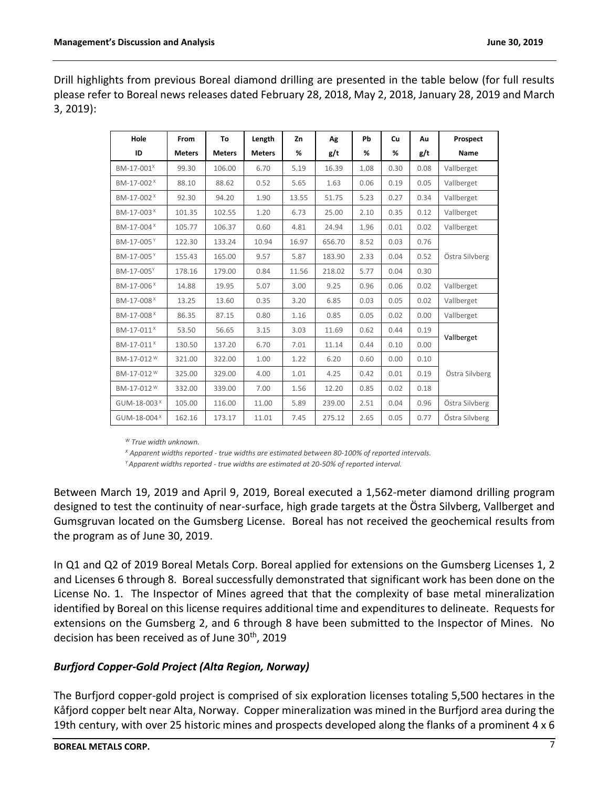Drill highlights from previous Boreal diamond drilling are presented in the table below (for full results please refer to Boreal news releases dated February 28, 2018, May 2, 2018, January 28, 2019 and March 3, 2019):

| Hole                    | From          | To            | Length        | Zn    | Λg     | Pb   | Cu   | Αu   | Prospect       |
|-------------------------|---------------|---------------|---------------|-------|--------|------|------|------|----------------|
| ID                      | <b>Meters</b> | <b>Meters</b> | <b>Meters</b> | %     | g/t    | %    | %    | g/t  | Name           |
| BM-17-001 <sup>X</sup>  | 99.30         | 106.00        | 6.70          | 5.19  | 16.39  | 1.08 | 0.30 | 0.08 | Vallberget     |
| BM-17-002 <sup>X</sup>  | 88.10         | 88.62         | 0.52          | 5.65  | 1.63   | 0.06 | 0.19 | 0.05 | Vallberget     |
| BM-17-002 <sup>X</sup>  | 92.30         | 94.20         | 1.90          | 13.55 | 51.75  | 5.23 | 0.27 | 0.34 | Vallberget     |
| BM-17-003 <sup>X</sup>  | 101.35        | 102.55        | 1.20          | 6.73  | 25.00  | 2.10 | 0.35 | 0.12 | Vallberget     |
| BM-17-004 <sup>X</sup>  | 105.77        | 106.37        | 0.60          | 4.81  | 24.94  | 1.96 | 0.01 | 0.02 | Vallberget     |
| BM-17-005Y              | 122.30        | 133.24        | 10.94         | 16.97 | 656.70 | 8.52 | 0.03 | 0.76 |                |
| BM-17-005 <sup>Y</sup>  | 155.43        | 165.00        | 9.57          | 5.87  | 183.90 | 2.33 | 0.04 | 0.52 | Östra Silvberg |
| BM-17-005Y              | 178.16        | 179.00        | 0.84          | 11.56 | 218.02 | 5.77 | 0.04 | 0.30 |                |
| BM-17-006 <sup>X</sup>  | 14.88         | 19.95         | 5.07          | 3.00  | 9.25   | 0.96 | 0.06 | 0.02 | Vallberget     |
| BM-17-008 <sup>X</sup>  | 13.25         | 13.60         | 0.35          | 3.20  | 6.85   | 0.03 | 0.05 | 0.02 | Vallberget     |
| BM-17-008 <sup>×</sup>  | 86.35         | 87.15         | 0.80          | 1.16  | 0.85   | 0.05 | 0.02 | 0.00 | Vallberget     |
| BM-17-011 <sup>X</sup>  | 53.50         | 56.65         | 3.15          | 3.03  | 11.69  | 0.62 | 0.44 | 0.19 |                |
| BM-17-011 <sup>X</sup>  | 130.50        | 137.20        | 6.70          | 7.01  | 11.14  | 0.44 | 0.10 | 0.00 | Vallberget     |
| BM-17-012 <sup>W</sup>  | 321.00        | 322.00        | 1.00          | 1.22  | 6.20   | 0.60 | 0.00 | 0.10 |                |
| BM-17-012 <sup>W</sup>  | 325.00        | 329.00        | 4.00          | 1.01  | 4.25   | 0.42 | 0.01 | 0.19 | Östra Silvberg |
| BM-17-012 <sup>W</sup>  | 332.00        | 339.00        | 7.00          | 1.56  | 12.20  | 0.85 | 0.02 | 0.18 |                |
| GUM-18-003 <sup>X</sup> | 105.00        | 116.00        | 11.00         | 5.89  | 239.00 | 2.51 | 0.04 | 0.96 | Östra Silvberg |
| GUM-18-004 <sup>X</sup> | 162.16        | 173.17        | 11.01         | 7.45  | 275.12 | 2.65 | 0.05 | 0.77 | Östra Silvberg |

*<sup>W</sup> True width unknown.*

*<sup>X</sup> Apparent widths reported - true widths are estimated between 80-100% of reported intervals.*

*<sup>Y</sup>Apparent widths reported - true widths are estimated at 20-50% of reported interval.*

Between March 19, 2019 and April 9, 2019, Boreal executed a 1,562-meter diamond drilling program designed to test the continuity of near-surface, high grade targets at the Östra Silvberg, Vallberget and Gumsgruvan located on the Gumsberg License. Boreal has not received the geochemical results from the program as of June 30, 2019.

In Q1 and Q2 of 2019 Boreal Metals Corp. Boreal applied for extensions on the Gumsberg Licenses 1, 2 and Licenses 6 through 8. Boreal successfully demonstrated that significant work has been done on the License No. 1. The Inspector of Mines agreed that that the complexity of base metal mineralization identified by Boreal on this license requires additional time and expenditures to delineate. Requests for extensions on the Gumsberg 2, and 6 through 8 have been submitted to the Inspector of Mines. No decision has been received as of June 30th, 2019

## *Burfjord Copper-Gold Project (Alta Region, Norway)*

The Burfjord copper-gold project is comprised of six exploration licenses totaling 5,500 hectares in the Kåfjord copper belt near Alta, Norway. Copper mineralization was mined in the Burfjord area during the 19th century, with over 25 historic mines and prospects developed along the flanks of a prominent 4 x 6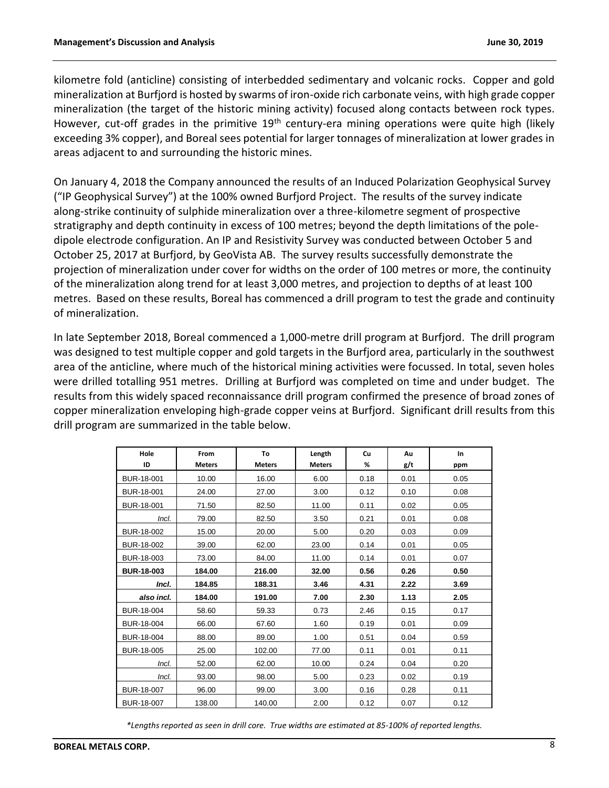kilometre fold (anticline) consisting of interbedded sedimentary and volcanic rocks. Copper and gold mineralization at Burfjord is hosted by swarms of iron-oxide rich carbonate veins, with high grade copper mineralization (the target of the historic mining activity) focused along contacts between rock types. However, cut-off grades in the primitive 19<sup>th</sup> century-era mining operations were quite high (likely exceeding 3% copper), and Boreal sees potential for larger tonnages of mineralization at lower grades in areas adjacent to and surrounding the historic mines.

On January 4, 2018 the Company announced the results of an Induced Polarization Geophysical Survey ("IP Geophysical Survey") at the 100% owned Burfjord Project. The results of the survey indicate along-strike continuity of sulphide mineralization over a three-kilometre segment of prospective stratigraphy and depth continuity in excess of 100 metres; beyond the depth limitations of the poledipole electrode configuration. An IP and Resistivity Survey was conducted between October 5 and October 25, 2017 at Burfjord, by GeoVista AB. The survey results successfully demonstrate the projection of mineralization under cover for widths on the order of 100 metres or more, the continuity of the mineralization along trend for at least 3,000 metres, and projection to depths of at least 100 metres. Based on these results, Boreal has commenced a drill program to test the grade and continuity of mineralization.

In late September 2018, Boreal commenced a 1,000-metre drill program at Burfjord. The drill program was designed to test multiple copper and gold targets in the Burfjord area, particularly in the southwest area of the anticline, where much of the historical mining activities were focussed. In total, seven holes were drilled totalling 951 metres. Drilling at Burfjord was completed on time and under budget. The results from this widely spaced reconnaissance drill program confirmed the presence of broad zones of copper mineralization enveloping high-grade copper veins at Burfjord. Significant drill results from this drill program are summarized in the table below.

| Hole<br>ID        | From<br><b>Meters</b> | To<br><b>Meters</b> | Length<br><b>Meters</b> | Cu<br>% | Au<br>g/t | In<br>ppm |
|-------------------|-----------------------|---------------------|-------------------------|---------|-----------|-----------|
| BUR-18-001        | 10.00                 | 16.00               | 6.00                    | 0.18    | 0.01      | 0.05      |
| BUR-18-001        | 24.00                 | 27.00               | 3.00                    | 0.12    | 0.10      | 0.08      |
| BUR-18-001        | 71.50                 | 82.50               | 11.00                   | 0.11    | 0.02      | 0.05      |
| Incl.             | 79.00                 | 82.50               | 3.50                    | 0.21    | 0.01      | 0.08      |
| BUR-18-002        | 15.00                 | 20.00               | 5.00                    | 0.20    | 0.03      | 0.09      |
| BUR-18-002        | 39.00                 | 62.00               | 23.00                   | 0.14    | 0.01      | 0.05      |
| BUR-18-003        | 73.00                 | 84.00               | 11.00                   | 0.14    | 0.01      | 0.07      |
| <b>BUR-18-003</b> | 184.00                | 216.00              | 32.00                   | 0.56    | 0.26      | 0.50      |
| Incl.             | 184.85                | 188.31              | 3.46                    | 4.31    | 2.22      | 3.69      |
| also incl.        | 184.00                | 191.00              | 7.00                    | 2.30    | 1.13      | 2.05      |
| BUR-18-004        | 58.60                 | 59.33               | 0.73                    | 2.46    | 0.15      | 0.17      |
| BUR-18-004        | 66.00                 | 67.60               | 1.60                    | 0.19    | 0.01      | 0.09      |
| BUR-18-004        | 88.00                 | 89.00               | 1.00                    | 0.51    | 0.04      | 0.59      |
| BUR-18-005        | 25.00                 | 102.00              | 77.00                   | 0.11    | 0.01      | 0.11      |
| Incl.             | 52.00                 | 62.00               | 10.00                   | 0.24    | 0.04      | 0.20      |
| Incl.             | 93.00                 | 98.00               | 5.00                    | 0.23    | 0.02      | 0.19      |
| BUR-18-007        | 96.00                 | 99.00               | 3.00                    | 0.16    | 0.28      | 0.11      |
| BUR-18-007        | 138.00                | 140.00              | 2.00                    | 0.12    | 0.07      | 0.12      |

*\*Lengths reported as seen in drill core. True widths are estimated at 85-100% of reported lengths.*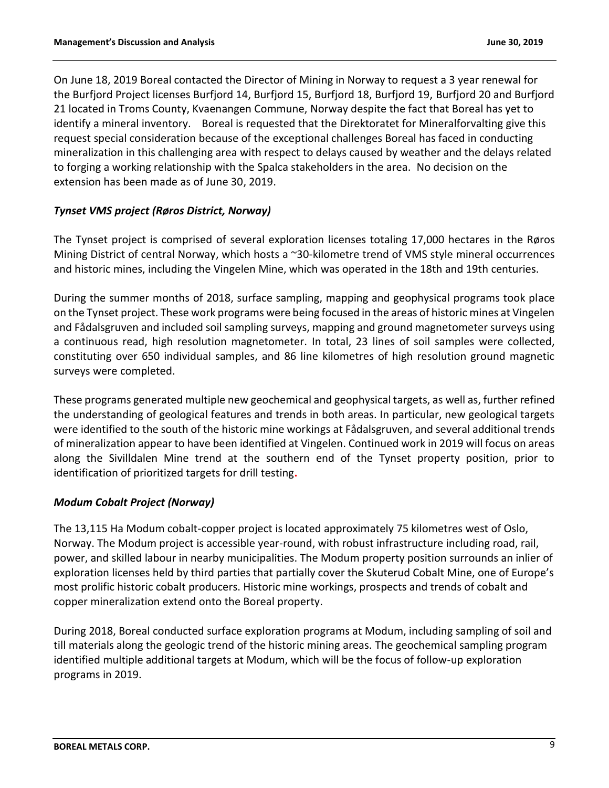On June 18, 2019 Boreal contacted the Director of Mining in Norway to request a 3 year renewal for the Burfjord Project licenses Burfjord 14, Burfjord 15, Burfjord 18, Burfjord 19, Burfjord 20 and Burfjord 21 located in Troms County, Kvaenangen Commune, Norway despite the fact that Boreal has yet to identify a mineral inventory. Boreal is requested that the Direktoratet for Mineralforvalting give this request special consideration because of the exceptional challenges Boreal has faced in conducting mineralization in this challenging area with respect to delays caused by weather and the delays related to forging a working relationship with the Spalca stakeholders in the area. No decision on the extension has been made as of June 30, 2019.

# *Tynset VMS project (Røros District, Norway)*

The Tynset project is comprised of several exploration licenses totaling 17,000 hectares in the Røros Mining District of central Norway, which hosts a ~30-kilometre trend of VMS style mineral occurrences and historic mines, including the Vingelen Mine, which was operated in the 18th and 19th centuries.

During the summer months of 2018, surface sampling, mapping and geophysical programs took place on the Tynset project. These work programs were being focused in the areas of historic mines at Vingelen and Fådalsgruven and included soil sampling surveys, mapping and ground magnetometer surveys using a continuous read, high resolution magnetometer. In total, 23 lines of soil samples were collected, constituting over 650 individual samples, and 86 line kilometres of high resolution ground magnetic surveys were completed.

These programs generated multiple new geochemical and geophysical targets, as well as, further refined the understanding of geological features and trends in both areas. In particular, new geological targets were identified to the south of the historic mine workings at Fådalsgruven, and several additional trends of mineralization appear to have been identified at Vingelen. Continued work in 2019 will focus on areas along the Sivilldalen Mine trend at the southern end of the Tynset property position, prior to identification of prioritized targets for drill testing**.** 

## *Modum Cobalt Project (Norway)*

The 13,115 Ha Modum cobalt-copper project is located approximately 75 kilometres west of Oslo, Norway. The Modum project is accessible year-round, with robust infrastructure including road, rail, power, and skilled labour in nearby municipalities. The Modum property position surrounds an inlier of exploration licenses held by third parties that partially cover the Skuterud Cobalt Mine, one of Europe's most prolific historic cobalt producers. Historic mine workings, prospects and trends of cobalt and copper mineralization extend onto the Boreal property.

During 2018, Boreal conducted surface exploration programs at Modum, including sampling of soil and till materials along the geologic trend of the historic mining areas. The geochemical sampling program identified multiple additional targets at Modum, which will be the focus of follow-up exploration programs in 2019.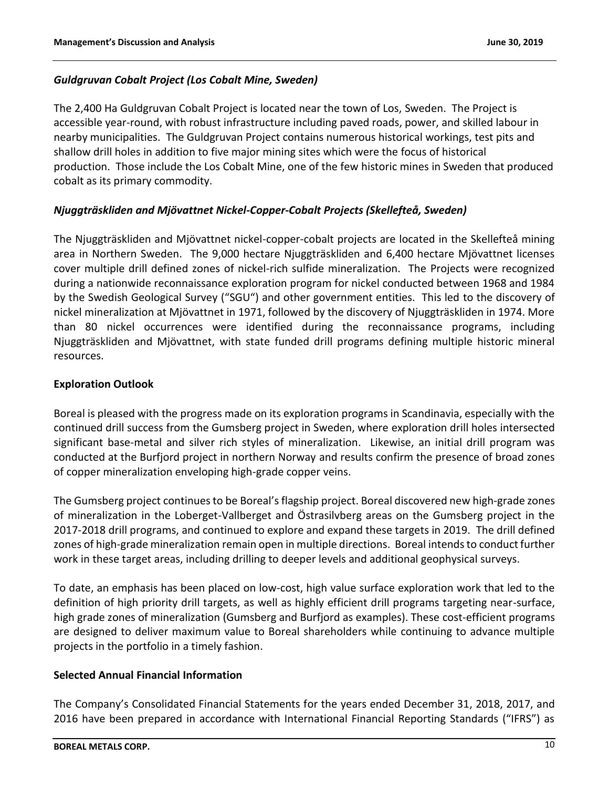# *Guldgruvan Cobalt Project (Los Cobalt Mine, Sweden)*

The 2,400 Ha Guldgruvan Cobalt Project is located near the town of Los, Sweden. The Project is accessible year-round, with robust infrastructure including paved roads, power, and skilled labour in nearby municipalities. The Guldgruvan Project contains numerous historical workings, test pits and shallow drill holes in addition to five major mining sites which were the focus of historical production. Those include the Los Cobalt Mine, one of the few historic mines in Sweden that produced cobalt as its primary commodity.

# *Njuggträskliden and Mjövattnet Nickel-Copper-Cobalt Projects (Skellefteå, Sweden)*

The Njuggträskliden and Mjövattnet nickel-copper-cobalt projects are located in the Skellefteå mining area in Northern Sweden. The 9,000 hectare Njuggträskliden and 6,400 hectare Mjövattnet licenses cover multiple drill defined zones of nickel-rich sulfide mineralization. The Projects were recognized during a nationwide reconnaissance exploration program for nickel conducted between 1968 and 1984 by the Swedish Geological Survey ("SGU") and other government entities. This led to the discovery of nickel mineralization at Mjövattnet in 1971, followed by the discovery of Njuggträskliden in 1974. More than 80 nickel occurrences were identified during the reconnaissance programs, including Njuggträskliden and Mjövattnet, with state funded drill programs defining multiple historic mineral resources.

## **Exploration Outlook**

Boreal is pleased with the progress made on its exploration programs in Scandinavia, especially with the continued drill success from the Gumsberg project in Sweden, where exploration drill holes intersected significant base-metal and silver rich styles of mineralization. Likewise, an initial drill program was conducted at the Burfjord project in northern Norway and results confirm the presence of broad zones of copper mineralization enveloping high-grade copper veins.

The Gumsberg project continues to be Boreal's flagship project. Boreal discovered new high-grade zones of mineralization in the Loberget-Vallberget and Östrasilvberg areas on the Gumsberg project in the 2017-2018 drill programs, and continued to explore and expand these targets in 2019. The drill defined zones of high-grade mineralization remain open in multiple directions. Boreal intends to conduct further work in these target areas, including drilling to deeper levels and additional geophysical surveys.

To date, an emphasis has been placed on low-cost, high value surface exploration work that led to the definition of high priority drill targets, as well as highly efficient drill programs targeting near-surface, high grade zones of mineralization (Gumsberg and Burfjord as examples). These cost-efficient programs are designed to deliver maximum value to Boreal shareholders while continuing to advance multiple projects in the portfolio in a timely fashion.

## **Selected Annual Financial Information**

The Company's Consolidated Financial Statements for the years ended December 31, 2018, 2017, and 2016 have been prepared in accordance with International Financial Reporting Standards ("IFRS") as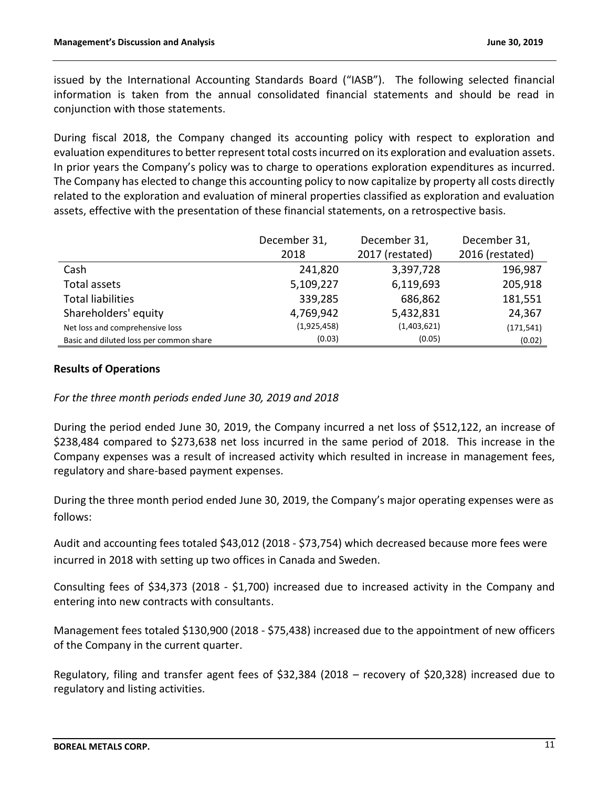issued by the International Accounting Standards Board ("IASB"). The following selected financial information is taken from the annual consolidated financial statements and should be read in conjunction with those statements.

During fiscal 2018, the Company changed its accounting policy with respect to exploration and evaluation expenditures to better represent total costs incurred on its exploration and evaluation assets. In prior years the Company's policy was to charge to operations exploration expenditures as incurred. The Company has elected to change this accounting policy to now capitalize by property all costs directly related to the exploration and evaluation of mineral properties classified as exploration and evaluation assets, effective with the presentation of these financial statements, on a retrospective basis.

|                                         | December 31, | December 31,    | December 31,    |
|-----------------------------------------|--------------|-----------------|-----------------|
|                                         | 2018         | 2017 (restated) | 2016 (restated) |
| Cash                                    | 241,820      | 3,397,728       | 196,987         |
| Total assets                            | 5,109,227    | 6,119,693       | 205,918         |
| <b>Total liabilities</b>                | 339,285      | 686,862         | 181,551         |
| Shareholders' equity                    | 4,769,942    | 5,432,831       | 24,367          |
| Net loss and comprehensive loss         | (1,925,458)  | (1,403,621)     | (171, 541)      |
| Basic and diluted loss per common share | (0.03)       | (0.05)          | (0.02)          |

## **Results of Operations**

*For the three month periods ended June 30, 2019 and 2018*

During the period ended June 30, 2019, the Company incurred a net loss of \$512,122, an increase of \$238,484 compared to \$273,638 net loss incurred in the same period of 2018. This increase in the Company expenses was a result of increased activity which resulted in increase in management fees, regulatory and share-based payment expenses.

During the three month period ended June 30, 2019, the Company's major operating expenses were as follows:

Audit and accounting fees totaled \$43,012 (2018 - \$73,754) which decreased because more fees were incurred in 2018 with setting up two offices in Canada and Sweden.

Consulting fees of \$34,373 (2018 - \$1,700) increased due to increased activity in the Company and entering into new contracts with consultants.

Management fees totaled \$130,900 (2018 - \$75,438) increased due to the appointment of new officers of the Company in the current quarter.

Regulatory, filing and transfer agent fees of \$32,384 (2018 – recovery of \$20,328) increased due to regulatory and listing activities.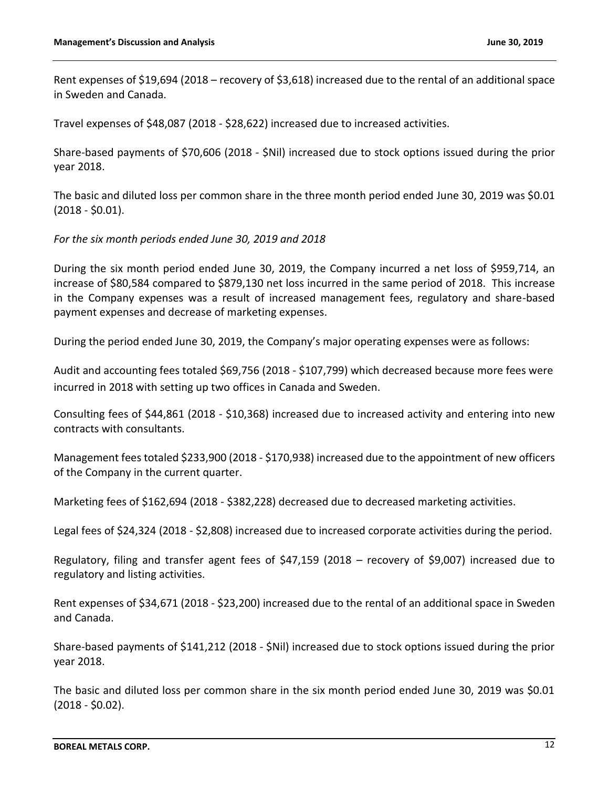Rent expenses of \$19,694 (2018 – recovery of \$3,618) increased due to the rental of an additional space in Sweden and Canada.

Travel expenses of \$48,087 (2018 - \$28,622) increased due to increased activities.

Share-based payments of \$70,606 (2018 - \$Nil) increased due to stock options issued during the prior year 2018.

The basic and diluted loss per common share in the three month period ended June 30, 2019 was \$0.01  $(2018 - $0.01)$ .

### *For the six month periods ended June 30, 2019 and 2018*

During the six month period ended June 30, 2019, the Company incurred a net loss of \$959,714, an increase of \$80,584 compared to \$879,130 net loss incurred in the same period of 2018. This increase in the Company expenses was a result of increased management fees, regulatory and share-based payment expenses and decrease of marketing expenses.

During the period ended June 30, 2019, the Company's major operating expenses were as follows:

Audit and accounting fees totaled \$69,756 (2018 - \$107,799) which decreased because more fees were incurred in 2018 with setting up two offices in Canada and Sweden.

Consulting fees of \$44,861 (2018 - \$10,368) increased due to increased activity and entering into new contracts with consultants.

Management fees totaled \$233,900 (2018 - \$170,938) increased due to the appointment of new officers of the Company in the current quarter.

Marketing fees of \$162,694 (2018 - \$382,228) decreased due to decreased marketing activities.

Legal fees of \$24,324 (2018 - \$2,808) increased due to increased corporate activities during the period.

Regulatory, filing and transfer agent fees of \$47,159 (2018 – recovery of \$9,007) increased due to regulatory and listing activities.

Rent expenses of \$34,671 (2018 - \$23,200) increased due to the rental of an additional space in Sweden and Canada.

Share-based payments of \$141,212 (2018 - \$Nil) increased due to stock options issued during the prior year 2018.

The basic and diluted loss per common share in the six month period ended June 30, 2019 was \$0.01 (2018 - \$0.02).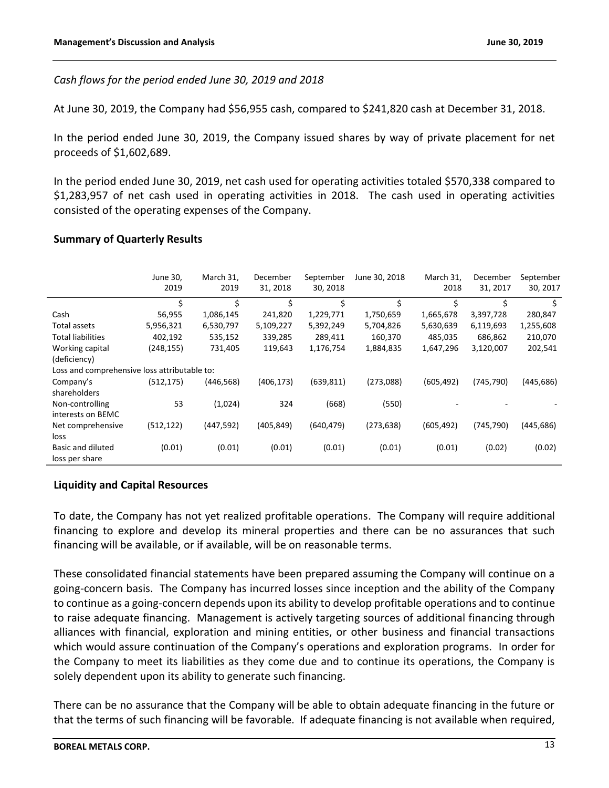*Cash flows for the period ended June 30, 2019 and 2018*

At June 30, 2019, the Company had \$56,955 cash, compared to \$241,820 cash at December 31, 2018.

In the period ended June 30, 2019, the Company issued shares by way of private placement for net proceeds of \$1,602,689.

In the period ended June 30, 2019, net cash used for operating activities totaled \$570,338 compared to \$1,283,957 of net cash used in operating activities in 2018. The cash used in operating activities consisted of the operating expenses of the Company.

### **Summary of Quarterly Results**

|                                              | June 30,<br>2019 | March 31,<br>2019 | December<br>31, 2018 | September<br>30, 2018 | June 30, 2018 | March 31,<br>2018 | December<br>31, 2017 | September<br>30, 2017 |
|----------------------------------------------|------------------|-------------------|----------------------|-----------------------|---------------|-------------------|----------------------|-----------------------|
|                                              | \$               | \$                | \$                   | \$                    | \$            | Ś.                | \$                   | \$                    |
| Cash                                         | 56,955           | 1,086,145         | 241,820              | 1,229,771             | 1,750,659     | 1,665,678         | 3,397,728            | 280,847               |
| Total assets                                 | 5,956,321        | 6,530,797         | 5,109,227            | 5,392,249             | 5,704,826     | 5,630,639         | 6,119,693            | 1,255,608             |
| <b>Total liabilities</b>                     | 402,192          | 535,152           | 339,285              | 289,411               | 160,370       | 485,035           | 686,862              | 210,070               |
| Working capital                              | (248,155)        | 731,405           | 119,643              | 1,176,754             | 1,884,835     | 1,647,296         | 3,120,007            | 202,541               |
| (deficiency)                                 |                  |                   |                      |                       |               |                   |                      |                       |
| Loss and comprehensive loss attributable to: |                  |                   |                      |                       |               |                   |                      |                       |
| Company's                                    | (512, 175)       | (446, 568)        | (406, 173)           | (639, 811)            | (273,088)     | (605, 492)        | (745, 790)           | (445, 686)            |
| shareholders                                 |                  |                   |                      |                       |               |                   |                      |                       |
| Non-controlling                              | 53               | (1,024)           | 324                  | (668)                 | (550)         |                   |                      |                       |
| interests on BEMC                            |                  |                   |                      |                       |               |                   |                      |                       |
| Net comprehensive                            | (512, 122)       | (447,592)         | (405, 849)           | (640, 479)            | (273, 638)    | (605, 492)        | (745, 790)           | (445, 686)            |
| loss                                         |                  |                   |                      |                       |               |                   |                      |                       |
| Basic and diluted                            | (0.01)           | (0.01)            | (0.01)               | (0.01)                | (0.01)        | (0.01)            | (0.02)               | (0.02)                |
| loss per share                               |                  |                   |                      |                       |               |                   |                      |                       |

## **Liquidity and Capital Resources**

To date, the Company has not yet realized profitable operations. The Company will require additional financing to explore and develop its mineral properties and there can be no assurances that such financing will be available, or if available, will be on reasonable terms.

These consolidated financial statements have been prepared assuming the Company will continue on a going-concern basis. The Company has incurred losses since inception and the ability of the Company to continue as a going-concern depends upon its ability to develop profitable operations and to continue to raise adequate financing. Management is actively targeting sources of additional financing through alliances with financial, exploration and mining entities, or other business and financial transactions which would assure continuation of the Company's operations and exploration programs. In order for the Company to meet its liabilities as they come due and to continue its operations, the Company is solely dependent upon its ability to generate such financing.

There can be no assurance that the Company will be able to obtain adequate financing in the future or that the terms of such financing will be favorable. If adequate financing is not available when required,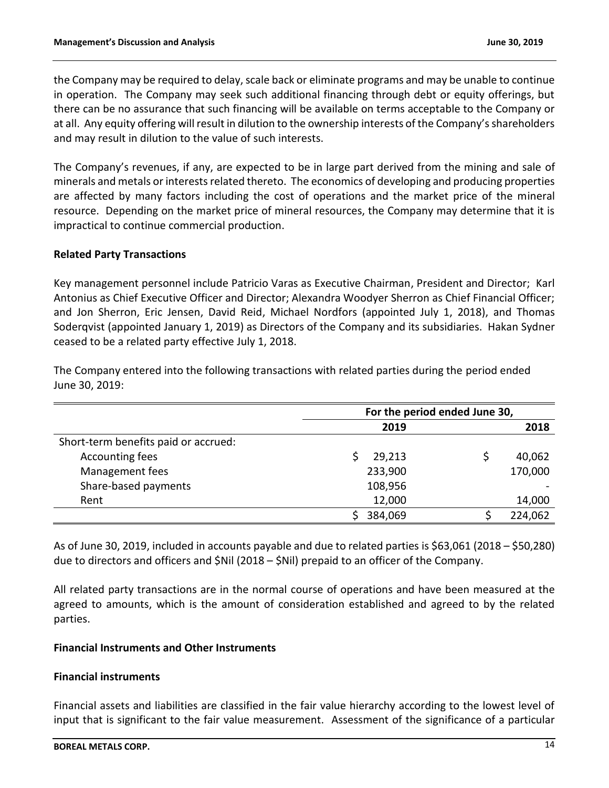the Company may be required to delay, scale back or eliminate programs and may be unable to continue in operation. The Company may seek such additional financing through debt or equity offerings, but there can be no assurance that such financing will be available on terms acceptable to the Company or at all. Any equity offering will result in dilution to the ownership interests of the Company's shareholders and may result in dilution to the value of such interests.

The Company's revenues, if any, are expected to be in large part derived from the mining and sale of minerals and metals or interests related thereto. The economics of developing and producing properties are affected by many factors including the cost of operations and the market price of the mineral resource. Depending on the market price of mineral resources, the Company may determine that it is impractical to continue commercial production.

### **Related Party Transactions**

Key management personnel include Patricio Varas as Executive Chairman, President and Director; Karl Antonius as Chief Executive Officer and Director; Alexandra Woodyer Sherron as Chief Financial Officer; and Jon Sherron, Eric Jensen, David Reid, Michael Nordfors (appointed July 1, 2018), and Thomas Soderqvist (appointed January 1, 2019) as Directors of the Company and its subsidiaries. Hakan Sydner ceased to be a related party effective July 1, 2018.

The Company entered into the following transactions with related parties during the period ended June 30, 2019:

|                                      | For the period ended June 30, |  |         |  |  |
|--------------------------------------|-------------------------------|--|---------|--|--|
|                                      | 2019                          |  | 2018    |  |  |
| Short-term benefits paid or accrued: |                               |  |         |  |  |
| Accounting fees                      | 29,213                        |  | 40,062  |  |  |
| Management fees                      | 233,900                       |  | 170,000 |  |  |
| Share-based payments                 | 108,956                       |  |         |  |  |
| Rent                                 | 12,000                        |  | 14,000  |  |  |
|                                      | 384,069                       |  | 224,062 |  |  |

As of June 30, 2019, included in accounts payable and due to related parties is \$63,061 (2018 – \$50,280) due to directors and officers and \$Nil (2018 – \$Nil) prepaid to an officer of the Company.

All related party transactions are in the normal course of operations and have been measured at the agreed to amounts, which is the amount of consideration established and agreed to by the related parties.

#### **Financial Instruments and Other Instruments**

## **Financial instruments**

Financial assets and liabilities are classified in the fair value hierarchy according to the lowest level of input that is significant to the fair value measurement. Assessment of the significance of a particular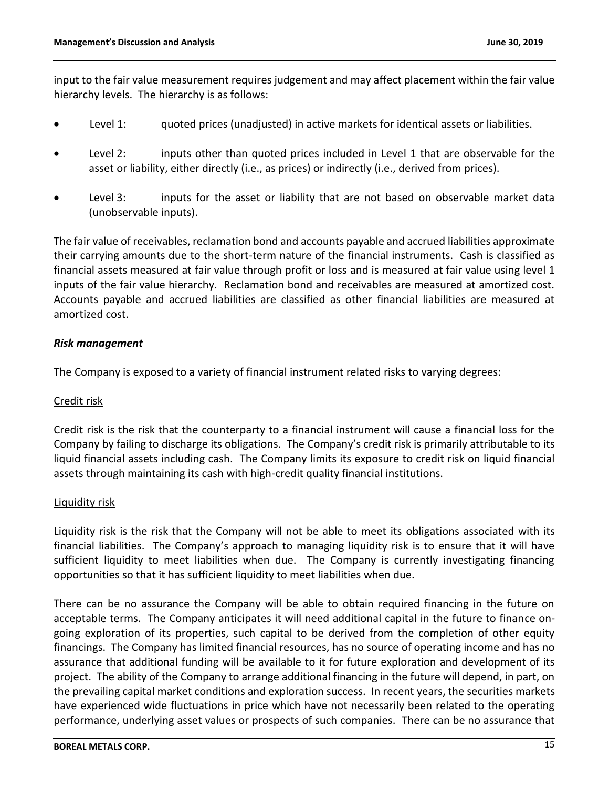input to the fair value measurement requires judgement and may affect placement within the fair value hierarchy levels. The hierarchy is as follows:

- Level 1: guoted prices (unadjusted) in active markets for identical assets or liabilities.
- Level 2: inputs other than quoted prices included in Level 1 that are observable for the asset or liability, either directly (i.e., as prices) or indirectly (i.e., derived from prices).
- Level 3: inputs for the asset or liability that are not based on observable market data (unobservable inputs).

The fair value of receivables, reclamation bond and accounts payable and accrued liabilities approximate their carrying amounts due to the short-term nature of the financial instruments. Cash is classified as financial assets measured at fair value through profit or loss and is measured at fair value using level 1 inputs of the fair value hierarchy. Reclamation bond and receivables are measured at amortized cost. Accounts payable and accrued liabilities are classified as other financial liabilities are measured at amortized cost.

### *Risk management*

The Company is exposed to a variety of financial instrument related risks to varying degrees:

### Credit risk

Credit risk is the risk that the counterparty to a financial instrument will cause a financial loss for the Company by failing to discharge its obligations. The Company's credit risk is primarily attributable to its liquid financial assets including cash. The Company limits its exposure to credit risk on liquid financial assets through maintaining its cash with high-credit quality financial institutions.

#### Liquidity risk

Liquidity risk is the risk that the Company will not be able to meet its obligations associated with its financial liabilities. The Company's approach to managing liquidity risk is to ensure that it will have sufficient liquidity to meet liabilities when due. The Company is currently investigating financing opportunities so that it has sufficient liquidity to meet liabilities when due.

There can be no assurance the Company will be able to obtain required financing in the future on acceptable terms. The Company anticipates it will need additional capital in the future to finance ongoing exploration of its properties, such capital to be derived from the completion of other equity financings. The Company has limited financial resources, has no source of operating income and has no assurance that additional funding will be available to it for future exploration and development of its project. The ability of the Company to arrange additional financing in the future will depend, in part, on the prevailing capital market conditions and exploration success. In recent years, the securities markets have experienced wide fluctuations in price which have not necessarily been related to the operating performance, underlying asset values or prospects of such companies. There can be no assurance that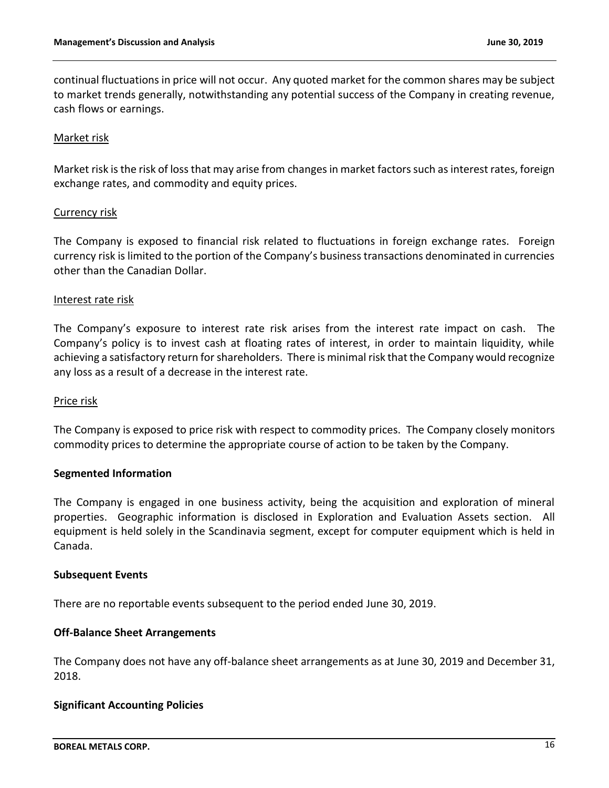continual fluctuations in price will not occur. Any quoted market for the common shares may be subject to market trends generally, notwithstanding any potential success of the Company in creating revenue, cash flows or earnings.

### Market risk

Market risk is the risk of loss that may arise from changes in market factors such as interest rates, foreign exchange rates, and commodity and equity prices.

### Currency risk

The Company is exposed to financial risk related to fluctuations in foreign exchange rates. Foreign currency risk is limited to the portion of the Company's business transactions denominated in currencies other than the Canadian Dollar.

### Interest rate risk

The Company's exposure to interest rate risk arises from the interest rate impact on cash. The Company's policy is to invest cash at floating rates of interest, in order to maintain liquidity, while achieving a satisfactory return for shareholders. There is minimal risk that the Company would recognize any loss as a result of a decrease in the interest rate.

#### Price risk

The Company is exposed to price risk with respect to commodity prices. The Company closely monitors commodity prices to determine the appropriate course of action to be taken by the Company.

#### **Segmented Information**

The Company is engaged in one business activity, being the acquisition and exploration of mineral properties. Geographic information is disclosed in Exploration and Evaluation Assets section. All equipment is held solely in the Scandinavia segment, except for computer equipment which is held in Canada.

#### **Subsequent Events**

There are no reportable events subsequent to the period ended June 30, 2019.

#### **Off-Balance Sheet Arrangements**

The Company does not have any off-balance sheet arrangements as at June 30, 2019 and December 31, 2018.

## **Significant Accounting Policies**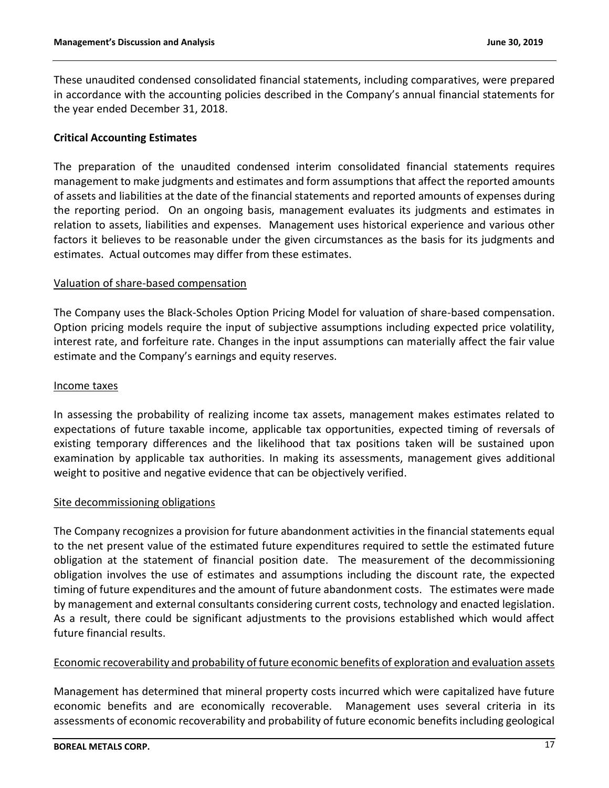These unaudited condensed consolidated financial statements, including comparatives, were prepared in accordance with the accounting policies described in the Company's annual financial statements for the year ended December 31, 2018.

### **Critical Accounting Estimates**

The preparation of the unaudited condensed interim consolidated financial statements requires management to make judgments and estimates and form assumptions that affect the reported amounts of assets and liabilities at the date of the financial statements and reported amounts of expenses during the reporting period. On an ongoing basis, management evaluates its judgments and estimates in relation to assets, liabilities and expenses. Management uses historical experience and various other factors it believes to be reasonable under the given circumstances as the basis for its judgments and estimates. Actual outcomes may differ from these estimates.

### Valuation of share-based compensation

The Company uses the Black-Scholes Option Pricing Model for valuation of share-based compensation. Option pricing models require the input of subjective assumptions including expected price volatility, interest rate, and forfeiture rate. Changes in the input assumptions can materially affect the fair value estimate and the Company's earnings and equity reserves.

#### Income taxes

In assessing the probability of realizing income tax assets, management makes estimates related to expectations of future taxable income, applicable tax opportunities, expected timing of reversals of existing temporary differences and the likelihood that tax positions taken will be sustained upon examination by applicable tax authorities. In making its assessments, management gives additional weight to positive and negative evidence that can be objectively verified.

#### Site decommissioning obligations

The Company recognizes a provision for future abandonment activities in the financial statements equal to the net present value of the estimated future expenditures required to settle the estimated future obligation at the statement of financial position date. The measurement of the decommissioning obligation involves the use of estimates and assumptions including the discount rate, the expected timing of future expenditures and the amount of future abandonment costs. The estimates were made by management and external consultants considering current costs, technology and enacted legislation. As a result, there could be significant adjustments to the provisions established which would affect future financial results.

## Economic recoverability and probability of future economic benefits of exploration and evaluation assets

Management has determined that mineral property costs incurred which were capitalized have future economic benefits and are economically recoverable. Management uses several criteria in its assessments of economic recoverability and probability of future economic benefits including geological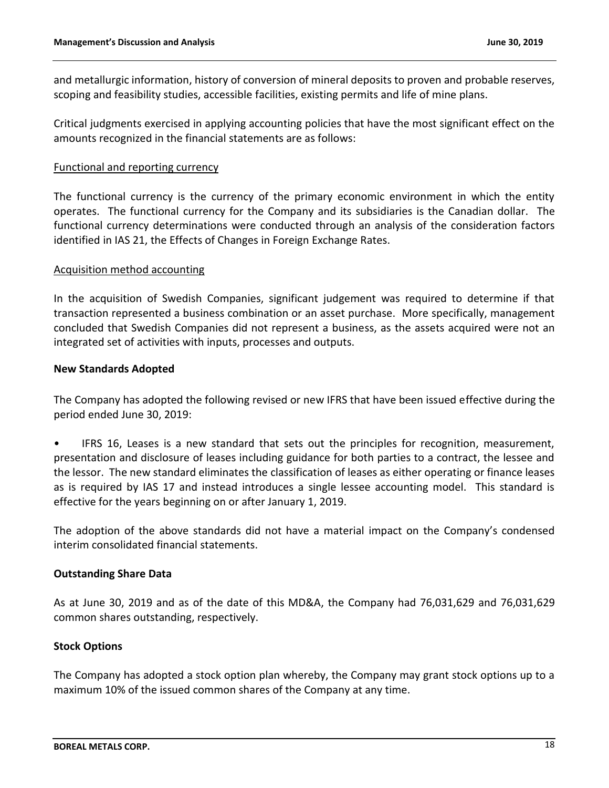and metallurgic information, history of conversion of mineral deposits to proven and probable reserves, scoping and feasibility studies, accessible facilities, existing permits and life of mine plans.

Critical judgments exercised in applying accounting policies that have the most significant effect on the amounts recognized in the financial statements are as follows:

### Functional and reporting currency

The functional currency is the currency of the primary economic environment in which the entity operates. The functional currency for the Company and its subsidiaries is the Canadian dollar. The functional currency determinations were conducted through an analysis of the consideration factors identified in IAS 21, the Effects of Changes in Foreign Exchange Rates.

#### Acquisition method accounting

In the acquisition of Swedish Companies, significant judgement was required to determine if that transaction represented a business combination or an asset purchase. More specifically, management concluded that Swedish Companies did not represent a business, as the assets acquired were not an integrated set of activities with inputs, processes and outputs.

### **New Standards Adopted**

The Company has adopted the following revised or new IFRS that have been issued effective during the period ended June 30, 2019:

• IFRS 16, Leases is a new standard that sets out the principles for recognition, measurement, presentation and disclosure of leases including guidance for both parties to a contract, the lessee and the lessor. The new standard eliminates the classification of leases as either operating or finance leases as is required by IAS 17 and instead introduces a single lessee accounting model. This standard is effective for the years beginning on or after January 1, 2019.

The adoption of the above standards did not have a material impact on the Company's condensed interim consolidated financial statements.

## **Outstanding Share Data**

As at June 30, 2019 and as of the date of this MD&A, the Company had 76,031,629 and 76,031,629 common shares outstanding, respectively.

## **Stock Options**

The Company has adopted a stock option plan whereby, the Company may grant stock options up to a maximum 10% of the issued common shares of the Company at any time.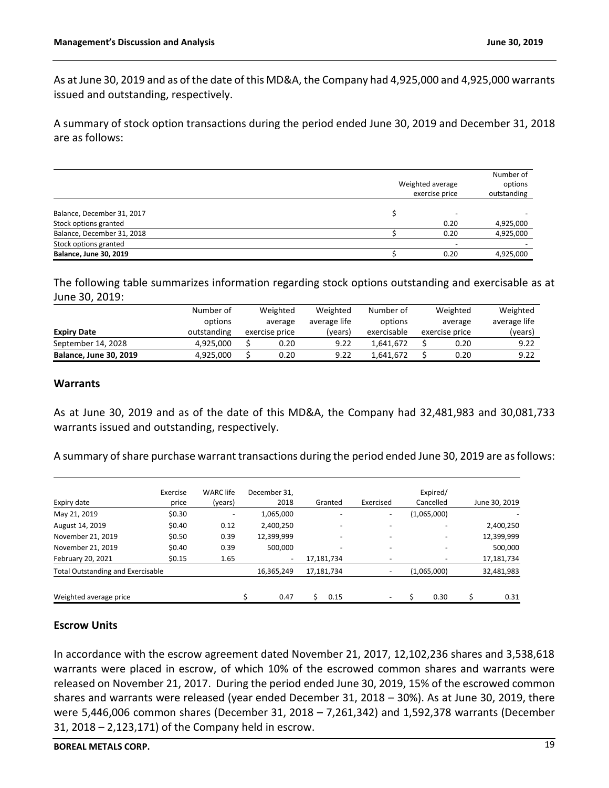As at June 30, 2019 and as of the date of this MD&A, the Company had 4,925,000 and 4,925,000 warrants issued and outstanding, respectively.

A summary of stock option transactions during the period ended June 30, 2019 and December 31, 2018 are as follows:

|                                                     | Weighted average<br>exercise price | Number of<br>options<br>outstanding |
|-----------------------------------------------------|------------------------------------|-------------------------------------|
| Balance, December 31, 2017<br>Stock options granted | 0.20                               | 4,925,000                           |
| Balance, December 31, 2018                          | 0.20                               | 4,925,000                           |
| Stock options granted                               | $\overline{\phantom{0}}$           |                                     |
| <b>Balance, June 30, 2019</b>                       | 0.20                               | 4.925.000                           |

The following table summarizes information regarding stock options outstanding and exercisable as at June 30, 2019:

|                               | Number of   | Weighted       | Weighted     | Number of   | Weighted       | Weighted     |
|-------------------------------|-------------|----------------|--------------|-------------|----------------|--------------|
|                               | options     | average        | average life | options     | average        | average life |
| <b>Expiry Date</b>            | outstanding | exercise price | (years)      | exercisable | exercise price | (years)      |
| September 14, 2028            | 4.925.000   | 0.20           | 9.22         | 1.641.672   | 0.20           | 9.22         |
| <b>Balance, June 30, 2019</b> | 4,925,000   | 0.20           | 9.22         | 1.641.672   | 0.20           | 9.22         |

### **Warrants**

As at June 30, 2019 and as of the date of this MD&A, the Company had 32,481,983 and 30,081,733 warrants issued and outstanding, respectively.

A summary of share purchase warrant transactions during the period ended June 30, 2019 are as follows:

| Expiry date                              | Exercise<br>price | <b>WARC</b> life<br>(years) | December 31.<br>2018     | Granted    | Exercised | Expired/<br>Cancelled | June 30, 2019 |
|------------------------------------------|-------------------|-----------------------------|--------------------------|------------|-----------|-----------------------|---------------|
| May 21, 2019                             | \$0.30            |                             | 1,065,000                |            |           | (1,065,000)           |               |
| August 14, 2019                          | \$0.40            | 0.12                        | 2,400,250                |            |           |                       | 2,400,250     |
| November 21, 2019                        | \$0.50            | 0.39                        | 12,399,999               |            |           |                       | 12,399,999    |
| November 21, 2019                        | \$0.40            | 0.39                        | 500,000                  | -          |           |                       | 500,000       |
| February 20, 2021                        | \$0.15            | 1.65                        | $\overline{\phantom{a}}$ | 17,181,734 |           |                       | 17,181,734    |
| <b>Total Outstanding and Exercisable</b> |                   |                             | 16,365,249               | 17,181,734 |           | (1,065,000)           | 32,481,983    |
| Weighted average price                   |                   |                             | 0.47                     | 0.15       |           | 0.30                  | 0.31          |

#### **Escrow Units**

In accordance with the escrow agreement dated November 21, 2017, 12,102,236 shares and 3,538,618 warrants were placed in escrow, of which 10% of the escrowed common shares and warrants were released on November 21, 2017. During the period ended June 30, 2019, 15% of the escrowed common shares and warrants were released (year ended December 31, 2018 – 30%). As at June 30, 2019, there were 5,446,006 common shares (December 31, 2018 – 7,261,342) and 1,592,378 warrants (December 31, 2018 – 2,123,171) of the Company held in escrow.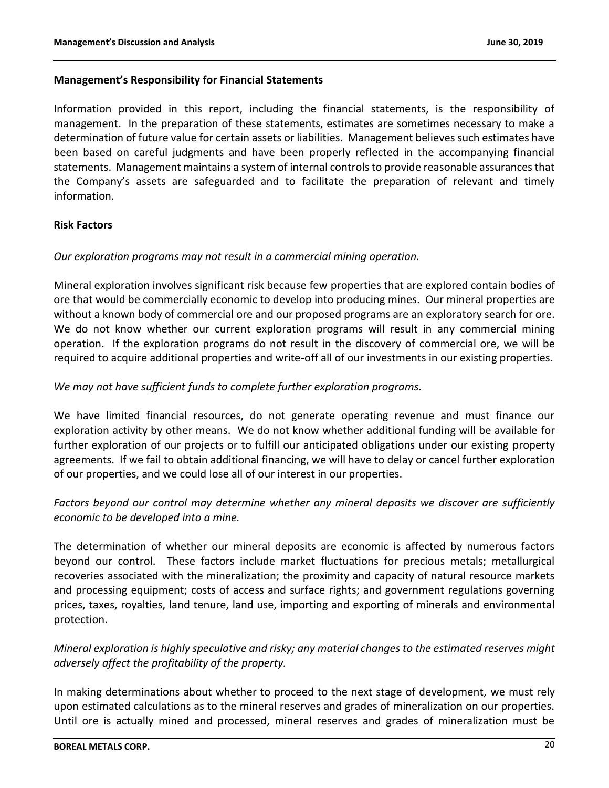### **Management's Responsibility for Financial Statements**

Information provided in this report, including the financial statements, is the responsibility of management. In the preparation of these statements, estimates are sometimes necessary to make a determination of future value for certain assets or liabilities. Management believes such estimates have been based on careful judgments and have been properly reflected in the accompanying financial statements. Management maintains a system of internal controls to provide reasonable assurances that the Company's assets are safeguarded and to facilitate the preparation of relevant and timely information.

## **Risk Factors**

### *Our exploration programs may not result in a commercial mining operation.*

Mineral exploration involves significant risk because few properties that are explored contain bodies of ore that would be commercially economic to develop into producing mines. Our mineral properties are without a known body of commercial ore and our proposed programs are an exploratory search for ore. We do not know whether our current exploration programs will result in any commercial mining operation. If the exploration programs do not result in the discovery of commercial ore, we will be required to acquire additional properties and write-off all of our investments in our existing properties.

### *We may not have sufficient funds to complete further exploration programs.*

We have limited financial resources, do not generate operating revenue and must finance our exploration activity by other means. We do not know whether additional funding will be available for further exploration of our projects or to fulfill our anticipated obligations under our existing property agreements. If we fail to obtain additional financing, we will have to delay or cancel further exploration of our properties, and we could lose all of our interest in our properties.

# *Factors beyond our control may determine whether any mineral deposits we discover are sufficiently economic to be developed into a mine.*

The determination of whether our mineral deposits are economic is affected by numerous factors beyond our control. These factors include market fluctuations for precious metals; metallurgical recoveries associated with the mineralization; the proximity and capacity of natural resource markets and processing equipment; costs of access and surface rights; and government regulations governing prices, taxes, royalties, land tenure, land use, importing and exporting of minerals and environmental protection.

# *Mineral exploration is highly speculative and risky; any material changes to the estimated reserves might adversely affect the profitability of the property.*

In making determinations about whether to proceed to the next stage of development, we must rely upon estimated calculations as to the mineral reserves and grades of mineralization on our properties. Until ore is actually mined and processed, mineral reserves and grades of mineralization must be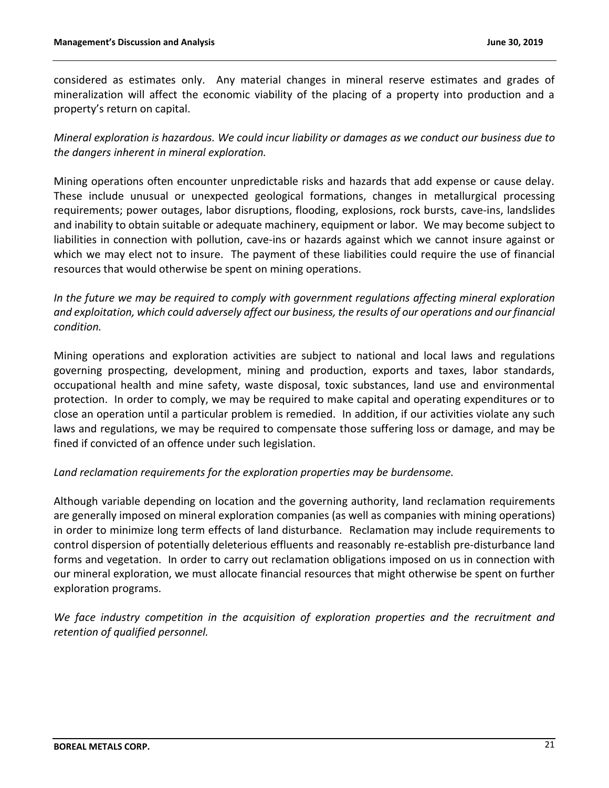considered as estimates only. Any material changes in mineral reserve estimates and grades of mineralization will affect the economic viability of the placing of a property into production and a property's return on capital.

*Mineral exploration is hazardous. We could incur liability or damages as we conduct our business due to the dangers inherent in mineral exploration.*

Mining operations often encounter unpredictable risks and hazards that add expense or cause delay. These include unusual or unexpected geological formations, changes in metallurgical processing requirements; power outages, labor disruptions, flooding, explosions, rock bursts, cave-ins, landslides and inability to obtain suitable or adequate machinery, equipment or labor. We may become subject to liabilities in connection with pollution, cave-ins or hazards against which we cannot insure against or which we may elect not to insure. The payment of these liabilities could require the use of financial resources that would otherwise be spent on mining operations.

*In the future we may be required to comply with government regulations affecting mineral exploration and exploitation, which could adversely affect our business, the results of our operations and our financial condition.*

Mining operations and exploration activities are subject to national and local laws and regulations governing prospecting, development, mining and production, exports and taxes, labor standards, occupational health and mine safety, waste disposal, toxic substances, land use and environmental protection. In order to comply, we may be required to make capital and operating expenditures or to close an operation until a particular problem is remedied. In addition, if our activities violate any such laws and regulations, we may be required to compensate those suffering loss or damage, and may be fined if convicted of an offence under such legislation.

## *Land reclamation requirements for the exploration properties may be burdensome.*

Although variable depending on location and the governing authority, land reclamation requirements are generally imposed on mineral exploration companies (as well as companies with mining operations) in order to minimize long term effects of land disturbance. Reclamation may include requirements to control dispersion of potentially deleterious effluents and reasonably re-establish pre-disturbance land forms and vegetation. In order to carry out reclamation obligations imposed on us in connection with our mineral exploration, we must allocate financial resources that might otherwise be spent on further exploration programs.

*We face industry competition in the acquisition of exploration properties and the recruitment and retention of qualified personnel.*